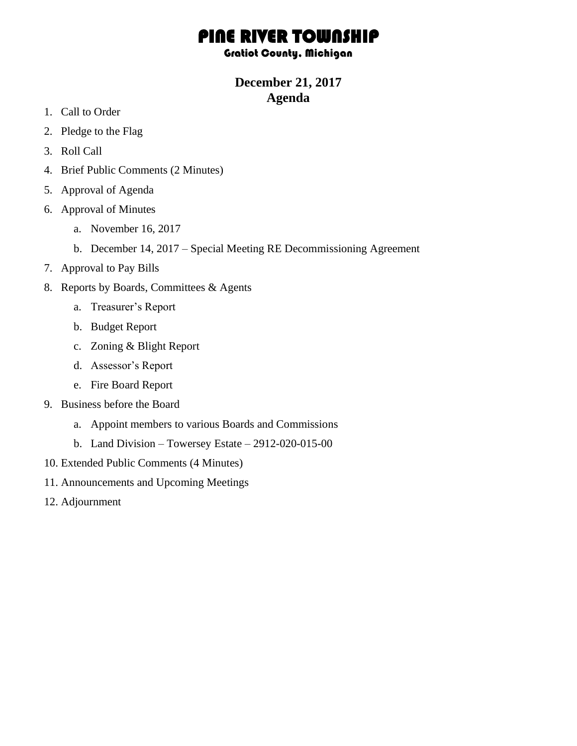# PINE RIVER TOWNSHIP

### Gratiot County, Michigan

## **December 21, 2017 Agenda**

- 1. Call to Order
- 2. Pledge to the Flag
- 3. Roll Call
- 4. Brief Public Comments (2 Minutes)
- 5. Approval of Agenda
- 6. Approval of Minutes
	- a. November 16, 2017
	- b. December 14, 2017 Special Meeting RE Decommissioning Agreement
- 7. Approval to Pay Bills
- 8. Reports by Boards, Committees & Agents
	- a. Treasurer's Report
	- b. Budget Report
	- c. Zoning & Blight Report
	- d. Assessor's Report
	- e. Fire Board Report
- 9. Business before the Board
	- a. Appoint members to various Boards and Commissions
	- b. Land Division Towersey Estate 2912-020-015-00
- 10. Extended Public Comments (4 Minutes)
- 11. Announcements and Upcoming Meetings
- 12. Adjournment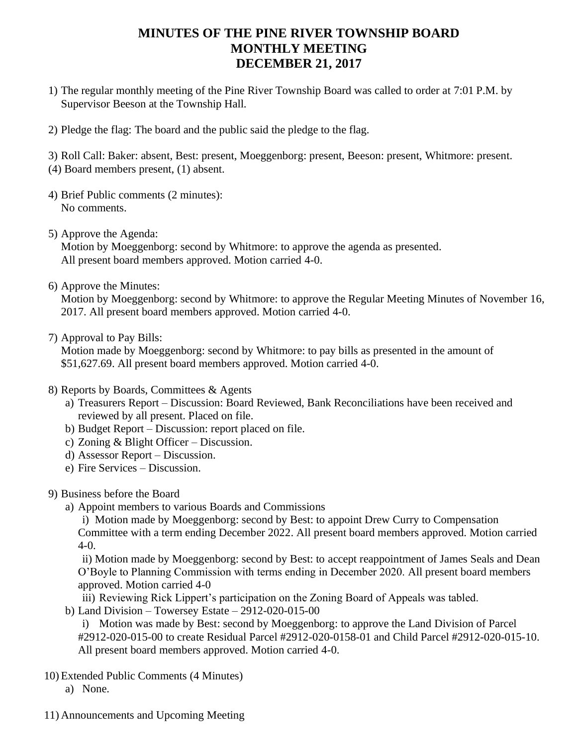## **MINUTES OF THE PINE RIVER TOWNSHIP BOARD MONTHLY MEETING DECEMBER 21, 2017**

- 1) The regular monthly meeting of the Pine River Township Board was called to order at 7:01 P.M. by Supervisor Beeson at the Township Hall.
- 2) Pledge the flag: The board and the public said the pledge to the flag.

3) Roll Call: Baker: absent, Best: present, Moeggenborg: present, Beeson: present, Whitmore: present.

- (4) Board members present, (1) absent.
- 4) Brief Public comments (2 minutes): No comments.
- 5) Approve the Agenda: Motion by Moeggenborg: second by Whitmore: to approve the agenda as presented. All present board members approved. Motion carried 4-0.
- 6) Approve the Minutes:

Motion by Moeggenborg: second by Whitmore: to approve the Regular Meeting Minutes of November 16, 2017. All present board members approved. Motion carried 4-0.

7) Approval to Pay Bills:

Motion made by Moeggenborg: second by Whitmore: to pay bills as presented in the amount of \$51,627.69. All present board members approved. Motion carried 4-0.

- 8) Reports by Boards, Committees & Agents
	- a) Treasurers Report Discussion: Board Reviewed, Bank Reconciliations have been received and reviewed by all present. Placed on file.
	- b) Budget Report Discussion: report placed on file.
	- c) Zoning & Blight Officer Discussion.
	- d) Assessor Report Discussion.
	- e) Fire Services Discussion.

## 9) Business before the Board

a) Appoint members to various Boards and Commissions

i) Motion made by Moeggenborg: second by Best: to appoint Drew Curry to Compensation Committee with a term ending December 2022. All present board members approved. Motion carried  $4-0.$ 

ii) Motion made by Moeggenborg: second by Best: to accept reappointment of James Seals and Dean O'Boyle to Planning Commission with terms ending in December 2020. All present board members approved. Motion carried 4-0

- iii) Reviewing Rick Lippert's participation on the Zoning Board of Appeals was tabled.
- b) Land Division Towersey Estate 2912-020-015-00

i) Motion was made by Best: second by Moeggenborg: to approve the Land Division of Parcel #2912-020-015-00 to create Residual Parcel #2912-020-0158-01 and Child Parcel #2912-020-015-10. All present board members approved. Motion carried 4-0.

- 10) Extended Public Comments (4 Minutes)
	- a) None.
- 11) Announcements and Upcoming Meeting